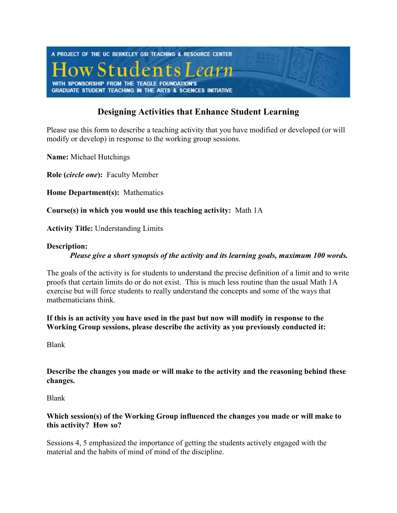

## **Designing Activities that Enhance Student Learning**

Please use this form to describe a teaching activity that you have modified or developed (or will modify or develop) in response to the working group sessions.

**Name:** Michael Hutchings

**Role (***circle one***):** Faculty Member

**Home Department(s):** Mathematics

**Course(s) in which you would use this teaching activity:** Math 1A

**Activity Title:** Understanding Limits

## **Description:**

*Please give a short synopsis of the activity and its learning goals, maximum 100 words.* 

The goals of the activity is for students to understand the precise definition of a limit and to write proofs that certain limits do or do not exist. This is much less routine than the usual Math 1A exercise but will force students to really understand the concepts and some of the ways that mathematicians think.

**If this is an activity you have used in the past but now will modify in response to the Working Group sessions, please describe the activity as you previously conducted it:** 

Blank

**Describe the changes you made or will make to the activity and the reasoning behind these changes.** 

Blank

## **Which session(s) of the Working Group influenced the changes you made or will make to this activity? How so?**

Sessions 4, 5 emphasized the importance of getting the students actively engaged with the material and the habits of mind of mind of the discipline.